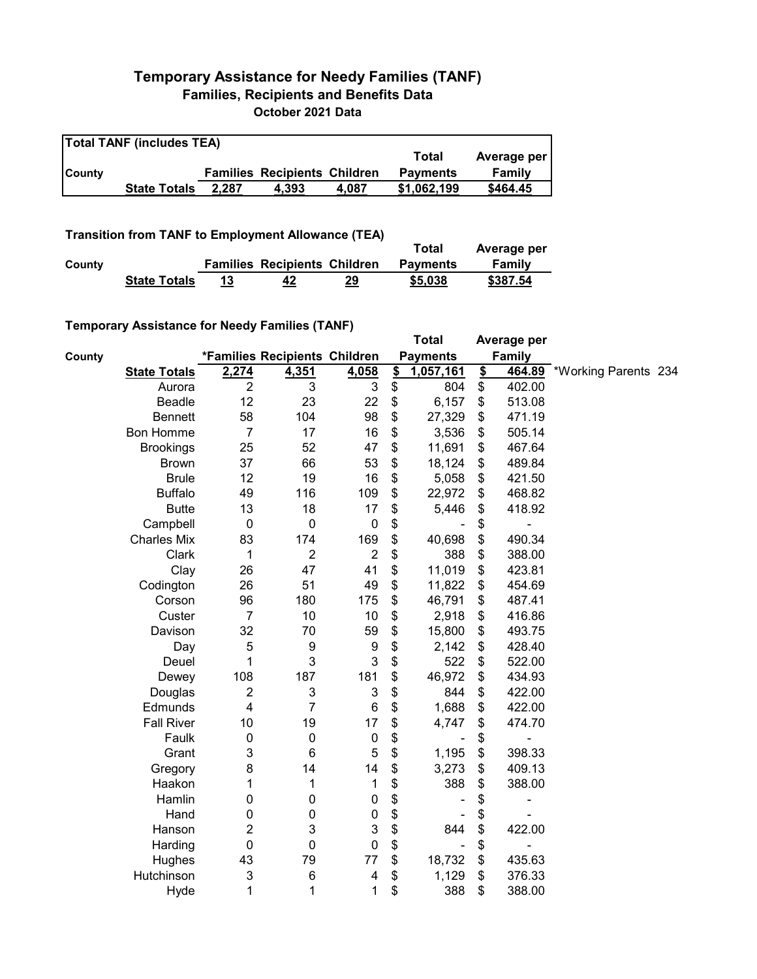## **Temporary Assistance for Needy Families (TANF) Families, Recipients and Benefits Data October 2021 Data**

| <b>Total TANF (includes TEA)</b> |                     |       |                                     |       |                 |             |  |  |
|----------------------------------|---------------------|-------|-------------------------------------|-------|-----------------|-------------|--|--|
|                                  |                     |       |                                     |       | Total           | Average per |  |  |
| <b>County</b>                    |                     |       | <b>Families Recipients Children</b> |       | <b>Payments</b> | Family      |  |  |
|                                  | <b>State Totals</b> | 2.287 | 4.393                               | 4.087 | \$1.062.199     | \$464.45    |  |  |

**Transition from TANF to Employment Allowance (TEA)**

|        | <b>ITAIISKIUII ITUIII TANI TU LIIIDIUVIIIEIII AIIUWAIIUE (TLA)</b> |    |                                     | Total | Average per     |          |  |
|--------|--------------------------------------------------------------------|----|-------------------------------------|-------|-----------------|----------|--|
| County |                                                                    |    | <b>Families Recipients Children</b> |       | <b>Payments</b> | Family   |  |
|        | <b>State Totals</b>                                                | 13 | 42                                  | 29    | \$5,038         | \$387.54 |  |

## **Temporary Assistance for Needy Families (TANF)**

|        |                     |                         |                               |                           |               | <b>Total</b>    |               | Average per   |                      |  |
|--------|---------------------|-------------------------|-------------------------------|---------------------------|---------------|-----------------|---------------|---------------|----------------------|--|
| County |                     |                         | *Families Recipients Children |                           |               | <b>Payments</b> |               | <b>Family</b> |                      |  |
|        | <b>State Totals</b> | 2,274                   | 4,351                         | 4,058                     | $\frac{1}{2}$ | 1,057,161       | $\frac{1}{2}$ | 464.89        | *Working Parents 234 |  |
|        | Aurora              | $\overline{2}$          | 3                             | 3                         | \$            | 804             | \$            | 402.00        |                      |  |
|        | <b>Beadle</b>       | 12                      | 23                            | 22                        | \$            | 6,157           | \$            | 513.08        |                      |  |
|        | <b>Bennett</b>      | 58                      | 104                           | 98                        | \$            | 27,329          | \$            | 471.19        |                      |  |
|        | <b>Bon Homme</b>    | $\overline{7}$          | 17                            | 16                        | \$            | 3,536           | \$            | 505.14        |                      |  |
|        | <b>Brookings</b>    | 25                      | 52                            | 47                        | \$            | 11,691          | \$            | 467.64        |                      |  |
|        | <b>Brown</b>        | 37                      | 66                            | 53                        | \$            | 18,124          | \$            | 489.84        |                      |  |
|        | <b>Brule</b>        | 12                      | 19                            | 16                        | \$            | 5,058           | \$            | 421.50        |                      |  |
|        | <b>Buffalo</b>      | 49                      | 116                           | 109                       | \$            | 22,972          | \$            | 468.82        |                      |  |
|        | <b>Butte</b>        | 13                      | 18                            | 17                        | \$            | 5,446           | \$            | 418.92        |                      |  |
|        | Campbell            | 0                       | $\pmb{0}$                     | $\pmb{0}$                 | \$            |                 | \$            |               |                      |  |
|        | <b>Charles Mix</b>  | 83                      | 174                           | 169                       | \$            | 40,698          | \$            | 490.34        |                      |  |
|        | Clark               | 1                       | $\overline{2}$                | $\sqrt{2}$                | \$            | 388             | \$            | 388.00        |                      |  |
|        | Clay                | 26                      | 47                            | 41                        | \$            | 11,019          | \$            | 423.81        |                      |  |
|        | Codington           | 26                      | 51                            | 49                        | \$            | 11,822          | \$            | 454.69        |                      |  |
|        | Corson              | 96                      | 180                           | 175                       | \$            | 46,791          | \$            | 487.41        |                      |  |
|        | Custer              | $\overline{7}$          | 10                            | 10                        | \$            | 2,918           | \$            | 416.86        |                      |  |
|        | Davison             | 32                      | 70                            | 59                        | \$            | 15,800          | \$            | 493.75        |                      |  |
|        | Day                 | 5                       | 9                             | 9                         | \$            | 2,142           | \$            | 428.40        |                      |  |
|        | Deuel               | 1                       | 3                             | 3                         | \$            | 522             | \$            | 522.00        |                      |  |
|        | Dewey               | 108                     | 187                           | 181                       | \$            | 46,972          | \$            | 434.93        |                      |  |
|        | Douglas             | $\overline{c}$          | $\mathbf{3}$                  | $\ensuremath{\mathsf{3}}$ | \$            | 844             | \$            | 422.00        |                      |  |
|        | Edmunds             | 4                       | 7                             | 6                         | \$            | 1,688           | \$            | 422.00        |                      |  |
|        | <b>Fall River</b>   | 10                      | 19                            | 17                        | \$            | 4,747           | \$            | 474.70        |                      |  |
|        | Faulk               | 0                       | 0                             | $\pmb{0}$                 | \$            |                 | \$            |               |                      |  |
|        | Grant               | 3                       | 6                             | 5                         | \$            | 1,195           | \$            | 398.33        |                      |  |
|        | Gregory             | 8                       | 14                            | 14                        | \$            | 3,273           | \$            | 409.13        |                      |  |
|        | Haakon              | 1                       | 1                             | 1                         | \$            | 388             | \$            | 388.00        |                      |  |
|        | Hamlin              | 0                       | 0                             | 0                         | \$            |                 | \$            |               |                      |  |
|        | Hand                | 0                       | 0                             | 0                         | \$            |                 | \$            |               |                      |  |
|        | Hanson              | $\overline{\mathbf{c}}$ | 3                             | $\ensuremath{\mathsf{3}}$ | \$            | 844             | \$            | 422.00        |                      |  |
|        | Harding             | 0                       | 0                             | 0                         | \$            |                 | \$            |               |                      |  |
|        | Hughes              | 43                      | 79                            | 77                        | \$            | 18,732          | \$            | 435.63        |                      |  |
|        | Hutchinson          | 3                       | 6                             | 4                         | \$            | 1,129           | \$            | 376.33        |                      |  |
|        | Hyde                | 1                       | 1                             | 1                         | \$            | 388             | \$            | 388.00        |                      |  |